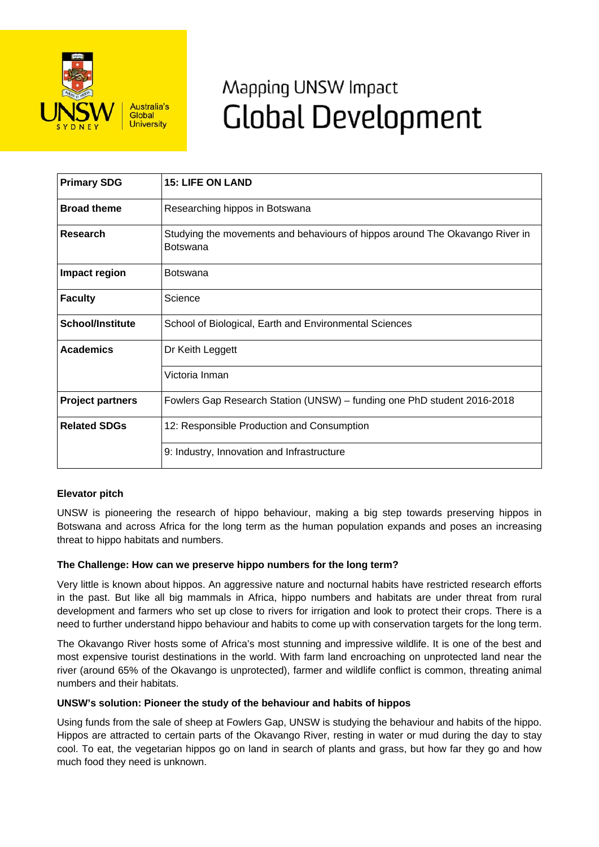

# Mapping UNSW Impact **Global Development**

| <b>Primary SDG</b>      | <b>15: LIFE ON LAND</b>                                                                         |
|-------------------------|-------------------------------------------------------------------------------------------------|
| <b>Broad theme</b>      | Researching hippos in Botswana                                                                  |
| <b>Research</b>         | Studying the movements and behaviours of hippos around The Okavango River in<br><b>Botswana</b> |
| Impact region           | Botswana                                                                                        |
| <b>Faculty</b>          | Science                                                                                         |
| <b>School/Institute</b> | School of Biological, Earth and Environmental Sciences                                          |
| <b>Academics</b>        | Dr Keith Leggett                                                                                |
|                         | Victoria Inman                                                                                  |
| <b>Project partners</b> | Fowlers Gap Research Station (UNSW) – funding one PhD student 2016-2018                         |
| <b>Related SDGs</b>     | 12: Responsible Production and Consumption                                                      |
|                         | 9: Industry, Innovation and Infrastructure                                                      |

# **Elevator pitch**

UNSW is pioneering the research of hippo behaviour, making a big step towards preserving hippos in Botswana and across Africa for the long term as the human population expands and poses an increasing threat to hippo habitats and numbers.

#### **The Challenge: How can we preserve hippo numbers for the long term?**

Very little is known about hippos. An aggressive nature and nocturnal habits have restricted research efforts in the past. But like all big mammals in Africa, hippo numbers and habitats are under threat from rural development and farmers who set up close to rivers for irrigation and look to protect their crops. There is a need to further understand hippo behaviour and habits to come up with conservation targets for the long term.

The Okavango River hosts some of Africa's most stunning and impressive wildlife. It is one of the best and most expensive tourist destinations in the world. With farm land encroaching on unprotected land near the river (around 65% of the Okavango is unprotected), farmer and wildlife conflict is common, threating animal numbers and their habitats.

#### **UNSW's solution: Pioneer the study of the behaviour and habits of hippos**

Using funds from the sale of sheep at Fowlers Gap, UNSW is studying the behaviour and habits of the hippo. Hippos are attracted to certain parts of the Okavango River, resting in water or mud during the day to stay cool. To eat, the vegetarian hippos go on land in search of plants and grass, but how far they go and how much food they need is unknown.